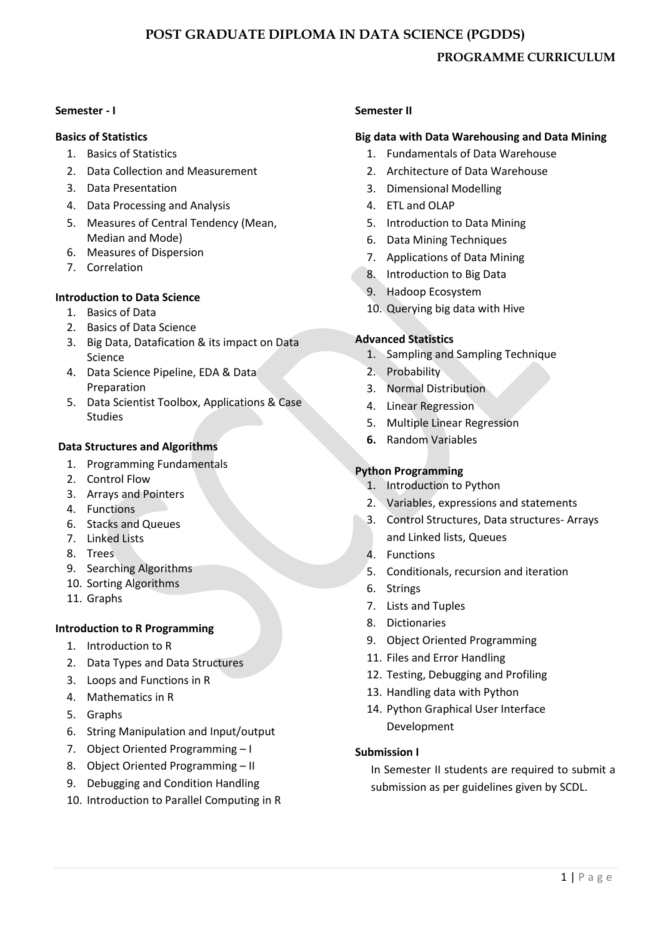# **POST GRADUATE DIPLOMA IN DATA SCIENCE (PGDDS)**

# **PROGRAMME CURRICULUM**

#### **Semester - I**

#### **Basics of Statistics**

- 1. Basics of Statistics
- 2. Data Collection and Measurement
- 3. Data Presentation
- 4. Data Processing and Analysis
- 5. Measures of Central Tendency (Mean, Median and Mode)
- 6. Measures of Dispersion
- 7. Correlation

### **Introduction to Data Science**

- 1. Basics of Data
- 2. Basics of Data Science
- 3. Big Data, Datafication & its impact on Data Science
- 4. Data Science Pipeline, EDA & Data Preparation
- 5. Data Scientist Toolbox, Applications & Case Studies

## **Data Structures and Algorithms**

- 1. Programming Fundamentals
- 2. Control Flow
- 3. Arrays and Pointers
- 4. Functions
- 6. Stacks and Queues
- 7. Linked Lists
- 8. Trees
- 9. Searching Algorithms
- 10. Sorting Algorithms
- 11. Graphs

### **Introduction to R Programming**

- 1. Introduction to R
- 2. Data Types and Data Structures
- 3. Loops and Functions in R
- 4. Mathematics in R
- 5. Graphs
- 6. String Manipulation and Input/output
- 7. Object Oriented Programming I
- 8. Object Oriented Programming II
- 9. Debugging and Condition Handling
- 10. Introduction to Parallel Computing in R

### **Semester II**

### **Big data with Data Warehousing and Data Mining**

- 1. Fundamentals of Data Warehouse
- 2. Architecture of Data Warehouse
- 3. Dimensional Modelling
- 4. ETL and OLAP
- 5. Introduction to Data Mining
- 6. Data Mining Techniques
- 7. Applications of Data Mining
- 8. Introduction to Big Data
- 9. Hadoop Ecosystem
- 10. Querying big data with Hive

## **Advanced Statistics**

- 1. Sampling and Sampling Technique
- 2. Probability
- 3. Normal Distribution
- 4. Linear Regression
- 5. Multiple Linear Regression
- **6.** Random Variables

# **Python Programming**

- 1. Introduction to Python
- 2. Variables, expressions and statements
- 3. Control Structures, Data structures- Arrays and Linked lists, Queues
- 4. Functions
- 5. Conditionals, recursion and iteration
- 6. Strings
- 7. Lists and Tuples
- 8. Dictionaries
- 9. Object Oriented Programming
- 11. Files and Error Handling
- 12. Testing, Debugging and Profiling
- 13. Handling data with Python
- 14. Python Graphical User Interface Development

### **Submission I**

In Semester II students are required to submit a submission as per guidelines given by SCDL.